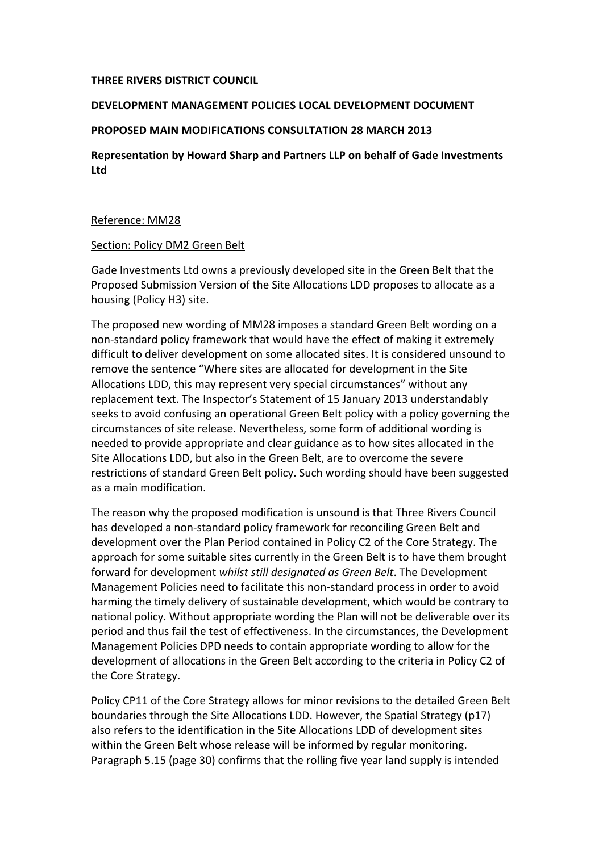### **THREE RIVERS DISTRICT COUNCIL**

#### **DEVELOPMENT MANAGEMENT POLICIES LOCAL DEVELOPMENT DOCUMENT**

## **PROPOSED MAIN MODIFICATIONS CONSULTATION 28 MARCH 2013**

**Representation by Howard Sharp and Partners LLP on behalf of Gade Investments Ltd**

### Reference: MM28

### Section: Policy DM2 Green Belt

Gade Investments Ltd owns a previously developed site in the Green Belt that the Proposed Submission Version of the Site Allocations LDD proposes to allocate as a housing (Policy H3) site.

The proposed new wording of MM28 imposes a standard Green Belt wording on a non-standard policy framework that would have the effect of making it extremely difficult to deliver development on some allocated sites. It is considered unsound to remove the sentence "Where sites are allocated for development in the Site Allocations LDD, this may represent very special circumstances" without any replacement text. The Inspector's Statement of 15 January 2013 understandably seeks to avoid confusing an operational Green Belt policy with a policy governing the circumstances of site release. Nevertheless, some form of additional wording is needed to provide appropriate and clear guidance as to how sites allocated in the Site Allocations LDD, but also in the Green Belt, are to overcome the severe restrictions of standard Green Belt policy. Such wording should have been suggested as a main modification.

The reason why the proposed modification is unsound is that Three Rivers Council has developed a non-standard policy framework for reconciling Green Belt and development over the Plan Period contained in Policy C2 of the Core Strategy. The approach for some suitable sites currently in the Green Belt is to have them brought forward for development whilst still designated as Green Belt. The Development Management Policies need to facilitate this non-standard process in order to avoid harming the timely delivery of sustainable development, which would be contrary to national policy. Without appropriate wording the Plan will not be deliverable over its period and thus fail the test of effectiveness. In the circumstances, the Development Management Policies DPD needs to contain appropriate wording to allow for the development of allocations in the Green Belt according to the criteria in Policy C2 of the Core Strategy.

Policy CP11 of the Core Strategy allows for minor revisions to the detailed Green Belt boundaries through the Site Allocations LDD. However, the Spatial Strategy (p17) also refers to the identification in the Site Allocations LDD of development sites within the Green Belt whose release will be informed by regular monitoring. Paragraph 5.15 (page 30) confirms that the rolling five year land supply is intended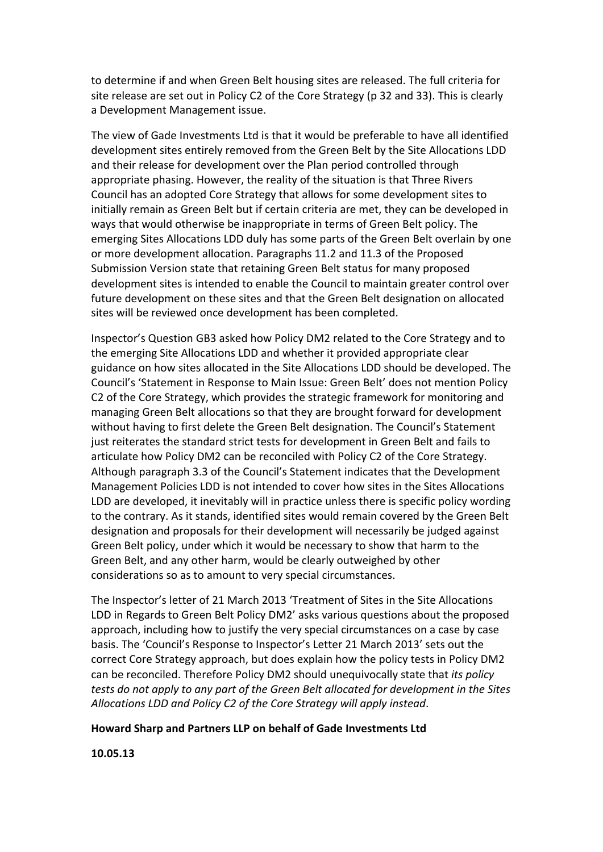to determine if and when Green Belt housing sites are released. The full criteria for site release are set out in Policy C2 of the Core Strategy (p 32 and 33). This is clearly a Development Management issue.

The view of Gade Investments Ltd is that it would be preferable to have all identified development sites entirely removed from the Green Belt by the Site Allocations LDD and their release for development over the Plan period controlled through appropriate phasing. However, the reality of the situation is that Three Rivers Council has an adopted Core Strategy that allows for some development sites to initially remain as Green Belt but if certain criteria are met, they can be developed in ways that would otherwise be inappropriate in terms of Green Belt policy. The emerging Sites Allocations LDD duly has some parts of the Green Belt overlain by one or more development allocation. Paragraphs 11.2 and 11.3 of the Proposed Submission Version state that retaining Green Belt status for many proposed development sites is intended to enable the Council to maintain greater control over future development on these sites and that the Green Belt designation on allocated sites will be reviewed once development has been completed.

Inspector's Question GB3 asked how Policy DM2 related to the Core Strategy and to the emerging Site Allocations LDD and whether it provided appropriate clear guidance on how sites allocated in the Site Allocations LDD should be developed. The Council's 'Statement in Response to Main Issue: Green Belt' does not mention Policy C2 of the Core Strategy, which provides the strategic framework for monitoring and managing Green Belt allocations so that they are brought forward for development without having to first delete the Green Belt designation. The Council's Statement just reiterates the standard strict tests for development in Green Belt and fails to articulate how Policy DM2 can be reconciled with Policy C2 of the Core Strategy. Although paragraph 3.3 of the Council's Statement indicates that the Development Management Policies LDD is not intended to cover how sites in the Sites Allocations LDD are developed, it inevitably will in practice unless there is specific policy wording to the contrary. As it stands, identified sites would remain covered by the Green Belt designation and proposals for their development will necessarily be judged against Green Belt policy, under which it would be necessary to show that harm to the Green Belt, and any other harm, would be clearly outweighed by other considerations so as to amount to very special circumstances.

The Inspector's letter of 21 March 2013 'Treatment of Sites in the Site Allocations LDD in Regards to Green Belt Policy DM2' asks various questions about the proposed approach, including how to justify the very special circumstances on a case by case basis. The 'Council's Response to Inspector's Letter 21 March 2013' sets out the correct Core Strategy approach, but does explain how the policy tests in Policy DM2 can be reconciled. Therefore Policy DM2 should unequivocally state that *its policy tests do not apply to any part of the Green Belt allocated for development in the Sites* Allocations LDD and Policy C2 of the Core Strategy will apply instead.

#### Howard Sharp and Partners LLP on behalf of Gade Investments Ltd

**10.05.13**